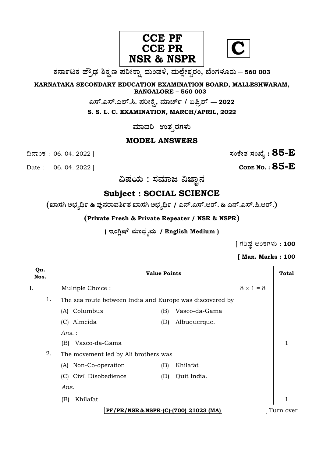



**O⁄´¤%lO⁄ ÆË√v⁄ ÃO⁄–y Æ⁄¬fiO¤– »⁄flMs⁄ÿ, »⁄fl≈Ê«fiÀ⁄ ¡⁄M, ∑ÊMV⁄◊⁄‡¡⁄fl — 560 003** 

**KARNATAKA SECONDARY EDUCATION EXAMINATION BOARD, MALLESHWARAM, BANGALORE – 560 003** 

**G—È.G—È.G≈È.". Æ⁄¬fiOÊ⁄–, »⁄·¤^È% / HØ√≈È — 2022**

**S. S. L. C. EXAMINATION, MARCH/APRIL, 2022** 

 $\,$ ಮಾದರಿ ಉತ್ತರಗಳು

## **MODEL ANSWERS**

¶´¤MO⁄ : 06. 04. 2022 ] **—⁄MOÊfi}⁄ —⁄MSÊ¿ : 85-E**

**CODE NO. :** 85-**E** 

 $\alpha$ ಷಯ : ಸಮಾಜ ವಿಜ್ಞಾನ

# **Subject : SOCIAL SCIENCE**

 $(\sum_{j=1}^N \mathbb{Z}_j)$  , where  $\sum_{j=1}^N \mathbb{Z}_j$  , where  $\sum_{j=1}^N \mathbb{Z}_j$  ,  $\sum_{j=1}^N \mathbb{Z}_j$  ,  $\sum_{j=1}^N \mathbb{Z}_j$  ,  $\sum_{j=1}^N \mathbb{Z}_j$ 

**(Private Fresh & Private Repeater / NSR & NSPR)**

( ಇಂಗ್ಲಿಷ್ ಮಾಧ<sub>್ಯ</sub>ಮ / English Medium )

 $\int$  ಗರಿಷ್ಠ ಅಂಕಗಳು : 100

### **[ Max. Marks : 100**

| Qn.<br>Nos. |                                                          | <b>Value Points</b> |                                       |                  | <b>Total</b> |
|-------------|----------------------------------------------------------|---------------------|---------------------------------------|------------------|--------------|
| Ι.          | Multiple Choice:                                         |                     |                                       | $8 \times 1 = 8$ |              |
| 1.          | The sea route between India and Europe was discovered by |                     |                                       |                  |              |
|             | Columbus<br>(A)                                          | (B)                 | Vasco-da-Gama                         |                  |              |
|             | (C) Almeida                                              | (D)                 | Albuquerque.                          |                  |              |
|             | Ans.:                                                    |                     |                                       |                  |              |
|             | Vasco-da-Gama<br>(B)                                     |                     |                                       |                  |              |
| 2.          | The movement led by Ali brothers was                     |                     |                                       |                  |              |
|             | Non-Co-operation<br>(A)                                  | (B)                 | Khilafat                              |                  |              |
|             | (C) Civil Disobedience                                   | (D)                 | Quit India.                           |                  |              |
|             | Ans.                                                     |                     |                                       |                  |              |
|             | Khilafat<br>(B)                                          |                     |                                       |                  | $\mathbf{1}$ |
|             |                                                          |                     | PF/PR/NSR & NSPR-(C)-(700)-21023 (MA) |                  | Turn over    |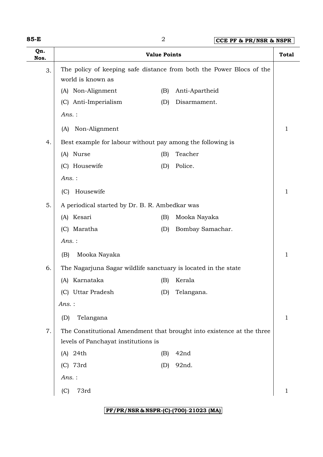| 85-E        | $\overline{2}$<br>CCE PF & PR/NSR & NSPR                                                  |                     |                                                                       |              |
|-------------|-------------------------------------------------------------------------------------------|---------------------|-----------------------------------------------------------------------|--------------|
| Qn.<br>Nos. |                                                                                           | <b>Value Points</b> |                                                                       | <b>Total</b> |
| 3.          | The policy of keeping safe distance from both the Power Blocs of the<br>world is known as |                     |                                                                       |              |
|             | (A) Non-Alignment                                                                         | (B)                 | Anti-Apartheid                                                        |              |
|             | (C) Anti-Imperialism                                                                      | (D)                 | Disarmament.                                                          |              |
|             | $Ans.$ :                                                                                  |                     |                                                                       |              |
|             | Non-Alignment<br>(A)                                                                      |                     |                                                                       | 1            |
| 4.          | Best example for labour without pay among the following is                                |                     |                                                                       |              |
|             | (A) Nurse                                                                                 | (B)                 | Teacher                                                               |              |
|             | (C) Housewife                                                                             | (D)                 | Police.                                                               |              |
|             | $Ans.$ :                                                                                  |                     |                                                                       |              |
|             | Housewife<br>(C)                                                                          |                     |                                                                       | 1            |
| 5.          | A periodical started by Dr. B. R. Ambedkar was                                            |                     |                                                                       |              |
|             | (A) Kesari                                                                                | (B)                 | Mooka Nayaka                                                          |              |
|             | (C) Maratha                                                                               | (D)                 | Bombay Samachar.                                                      |              |
|             | $Ans.$ :                                                                                  |                     |                                                                       |              |
|             | Mooka Nayaka<br>(B)                                                                       |                     |                                                                       | 1            |
| 6.          | The Nagarjuna Sagar wildlife sanctuary is located in the state                            |                     |                                                                       |              |
|             | (A) Karnataka<br>(A)                                                                      |                     | (B) Kerala                                                            |              |
|             | (C) Uttar Pradesh                                                                         | (D)                 | Telangana.                                                            |              |
|             | Ans.:                                                                                     |                     |                                                                       |              |
|             | Telangana<br>(D)                                                                          |                     |                                                                       | 1            |
| 7.          |                                                                                           |                     | The Constitutional Amendment that brought into existence at the three |              |
|             | levels of Panchayat institutions is                                                       |                     |                                                                       |              |
|             | $(A)$ 24th                                                                                | (B)                 | 42nd                                                                  |              |
|             | (C) 73rd                                                                                  | (D)                 | 92nd.                                                                 |              |
|             | Ans.:                                                                                     |                     |                                                                       |              |
|             | 73rd<br>(C)                                                                               |                     |                                                                       | 1            |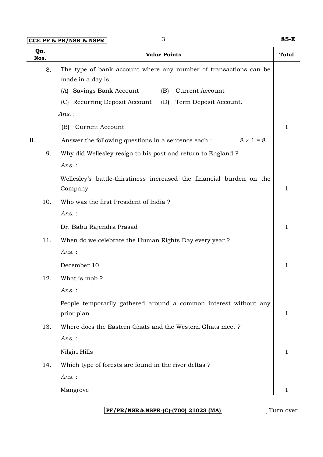**CCE PF & PR/NSR & NSPR** 3 **85-E**

| Qn.<br>Nos. | <b>Value Points</b>                                                                  | <b>Total</b> |
|-------------|--------------------------------------------------------------------------------------|--------------|
| 8.          | The type of bank account where any number of transactions can be<br>made in a day is |              |
|             | (A) Savings Bank Account<br>(B)<br><b>Current Account</b>                            |              |
|             | (C) Recurring Deposit Account<br>(D)<br>Term Deposit Account.                        |              |
|             | $Ans.$ :                                                                             |              |
|             | <b>Current Account</b><br>(B)                                                        | 1            |
| II.         | Answer the following questions in a sentence each :<br>$8 \times 1 = 8$              |              |
| 9.          | Why did Wellesley resign to his post and return to England ?                         |              |
|             | $Ans.$ :                                                                             |              |
|             | Wellesley's battle-thirstiness increased the financial burden on the<br>Company.     | $\mathbf{1}$ |
| 10.         | Who was the first President of India?                                                |              |
|             | Ans.:                                                                                |              |
|             | Dr. Babu Rajendra Prasad                                                             | 1            |
| 11.         | When do we celebrate the Human Rights Day every year?                                |              |
|             | $Ans.$ :                                                                             |              |
|             | December 10                                                                          | 1            |
| 12.         | What is mob?                                                                         |              |
|             | Ans.:                                                                                |              |
|             | People temporarily gathered around a common interest without any                     |              |
|             | prior plan                                                                           | 1            |
| 13.         | Where does the Eastern Ghats and the Western Ghats meet?                             |              |
|             | Ans.:                                                                                |              |
|             | Nilgiri Hills                                                                        | 1            |
| 14.         | Which type of forests are found in the river deltas?                                 |              |
|             | Ans.:                                                                                |              |
|             | Mangrove                                                                             | 1            |

**PF/PR/NSR & NSPR-(C)-(700)**-**21023 (MA)** [ Turn over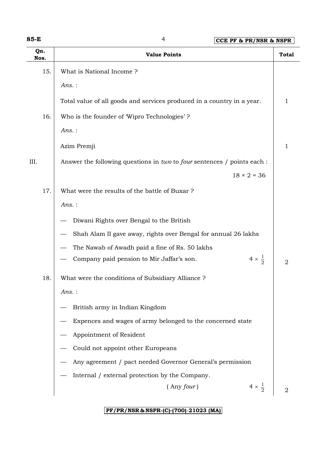**85-E** 4 **CCE PF & PR/NSR & NSPR**

| Qn.<br>Nos. | <b>Value Points</b>                                                     | <b>Total</b>   |
|-------------|-------------------------------------------------------------------------|----------------|
| 15.         | What is National Income?                                                |                |
|             | $Ans.$ :                                                                |                |
|             | Total value of all goods and services produced in a country in a year.  | 1              |
| 16.         | Who is the founder of Wipro Technologies'?                              |                |
|             | $Ans.$ :                                                                |                |
|             | Azim Premji                                                             | 1              |
| III.        | Answer the following questions in two to four sentences / points each : |                |
|             | $18 \times 2 = 36$                                                      |                |
| 17.         | What were the results of the battle of Buxar?                           |                |
|             | $Ans.$ :                                                                |                |
|             | Diwani Rights over Bengal to the British                                |                |
|             | Shah Alam II gave away, rights over Bengal for annual 26 lakhs          |                |
|             | The Nawab of Awadh paid a fine of Rs. 50 lakhs                          |                |
|             | $4 \times \frac{1}{2}$<br>Company paid pension to Mir Jaffar's son.     | $\overline{2}$ |
| 18.         | What were the conditions of Subsidiary Alliance ?                       |                |
|             | Ans.:                                                                   |                |
|             | British army in Indian Kingdom                                          |                |
|             | Expences and wages of army belonged to the concerned state              |                |
|             | Appointment of Resident                                                 |                |
|             | Could not appoint other Europeans                                       |                |
|             | Any agreement / pact needed Governor General's permission               |                |
|             | Internal / external protection by the Company.                          |                |
|             | $4 \times \frac{1}{2}$<br>$($ Any four $)$                              | $\overline{2}$ |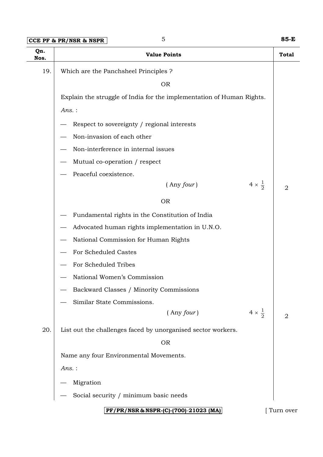| $ {\rm CCE}\>$ PF & PR/NSR & NSPR $ $ |  | 85-E |
|---------------------------------------|--|------|
|---------------------------------------|--|------|

| Qn.<br>Nos. | <b>Value Points</b>                                                   | <b>Total</b> |
|-------------|-----------------------------------------------------------------------|--------------|
| 19.         | Which are the Panchsheel Principles ?                                 |              |
|             | <b>OR</b>                                                             |              |
|             | Explain the struggle of India for the implementation of Human Rights. |              |
|             | Ans.:                                                                 |              |
|             | Respect to sovereignty / regional interests                           |              |
|             | Non-invasion of each other                                            |              |
|             | Non-interference in internal issues                                   |              |
|             | Mutual co-operation / respect                                         |              |
|             | Peaceful coexistence.                                                 |              |
|             | $4 \times \frac{1}{2}$<br>$($ Any four $)$                            | 2            |
|             | <b>OR</b>                                                             |              |
|             | Fundamental rights in the Constitution of India                       |              |
|             | Advocated human rights implementation in U.N.O.                       |              |
|             | National Commission for Human Rights                                  |              |
|             | For Scheduled Castes                                                  |              |
|             | For Scheduled Tribes                                                  |              |
|             | National Women's Commission                                           |              |
|             | Backward Classes / Minority Commissions                               |              |
|             | Similar State Commissions.                                            |              |
|             | $4 \times \frac{1}{2}$<br>$($ Any four $)$                            | 2            |
| 20.         | List out the challenges faced by unorganised sector workers.          |              |
|             | <b>OR</b>                                                             |              |
|             | Name any four Environmental Movements.                                |              |
|             | Ans.:                                                                 |              |
|             | Migration                                                             |              |
|             | Social security / minimum basic needs                                 |              |
|             | PF/PR/NSR & NSPR-(C)-(700)-21023 (MA)                                 | [Turn over   |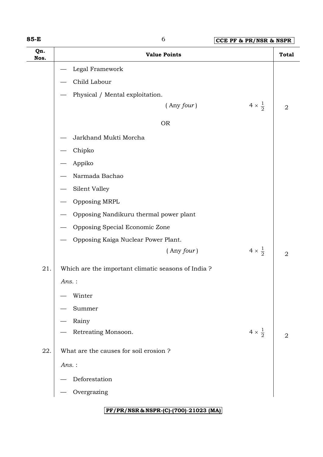**85-E** 6 **CCE PF & PR/NSR & NSPR**

| Qn.<br>Nos. | <b>Value Points</b>                                |                        | <b>Total</b>   |
|-------------|----------------------------------------------------|------------------------|----------------|
|             | Legal Framework                                    |                        |                |
|             | Child Labour                                       |                        |                |
|             | Physical / Mental exploitation.                    |                        |                |
|             | $($ Any four $)$                                   | $4 \times \frac{1}{2}$ | $\overline{2}$ |
|             | <b>OR</b>                                          |                        |                |
|             | Jarkhand Mukti Morcha                              |                        |                |
|             | Chipko                                             |                        |                |
|             | Appiko                                             |                        |                |
|             | Narmada Bachao                                     |                        |                |
|             | Silent Valley                                      |                        |                |
|             | Opposing MRPL                                      |                        |                |
|             | Opposing Nandikuru thermal power plant             |                        |                |
|             | Opposing Special Economic Zone                     |                        |                |
|             | Opposing Kaiga Nuclear Power Plant.                |                        |                |
|             | $($ Any four $)$                                   | $4 \times \frac{1}{2}$ | $\overline{2}$ |
| 21.         | Which are the important climatic seasons of India? |                        |                |
|             | $Ans.$ :                                           |                        |                |
|             | Winter                                             |                        |                |
|             | Summer                                             |                        |                |
|             | Rainy                                              |                        |                |
|             | Retreating Monsoon.                                | $4 \times \frac{1}{2}$ | $\overline{2}$ |
| 22.         | What are the causes for soil erosion?              |                        |                |
|             | $Ans.$ :                                           |                        |                |
|             | Deforestation                                      |                        |                |
|             | Overgrazing                                        |                        |                |
|             |                                                    |                        |                |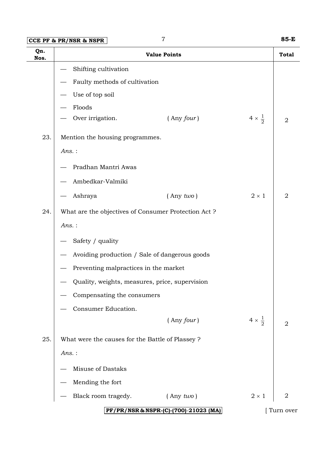## **CCE PF & PR/NSR & NSPR** 7 **85-E**

| Qn.<br>Nos. | CCD LL QUID'UND QUIDLU<br><b>Value Points</b>       |                        | <b>Total</b>   |
|-------------|-----------------------------------------------------|------------------------|----------------|
|             | Shifting cultivation                                |                        |                |
|             | Faulty methods of cultivation                       |                        |                |
|             | Use of top soil                                     |                        |                |
|             | Floods                                              |                        |                |
|             | Over irrigation.<br>$($ Any $four)$                 | $4 \times \frac{1}{2}$ | $\overline{2}$ |
| 23.         | Mention the housing programmes.                     |                        |                |
|             | Ans.:                                               |                        |                |
|             | Pradhan Mantri Awas                                 |                        |                |
|             | Ambedkar-Valmiki                                    |                        |                |
|             | $($ Any $two)$<br>Ashraya                           | $2\times1$             | 2              |
| 24.         | What are the objectives of Consumer Protection Act? |                        |                |
|             | $Ans.$ :                                            |                        |                |
|             | Safety / quality                                    |                        |                |
|             | Avoiding production / Sale of dangerous goods       |                        |                |
|             | Preventing malpractices in the market               |                        |                |
|             | Quality, weights, measures, price, supervision      |                        |                |
|             | Compensating the consumers                          |                        |                |
|             | Consumer Education.                                 |                        |                |
|             | $($ Any $four)$                                     | $4 \times \frac{1}{2}$ | $\overline{2}$ |
| 25.         | What were the causes for the Battle of Plassey ?    |                        |                |
|             | Ans.:                                               |                        |                |
|             | Misuse of Dastaks                                   |                        |                |
|             | Mending the fort                                    |                        |                |
|             | Black room tragedy.<br>$($ Any $two)$               | $2 \times 1$           | $\overline{2}$ |
|             | PF/PR/NSR & NSPR-(C)-(700)-21023 (MA)               |                        | Turn over      |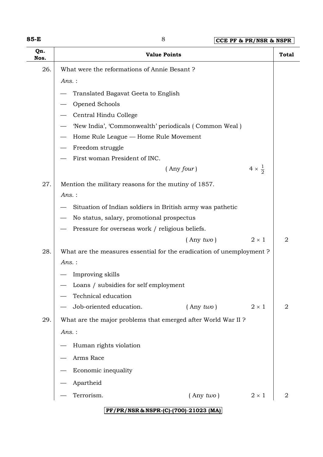| w<br>۰.<br>۰, |  |
|---------------|--|
|---------------|--|

| Qn.<br>Nos. | <b>Value Points</b>                                                  | <b>Total</b>   |
|-------------|----------------------------------------------------------------------|----------------|
| 26.         | What were the reformations of Annie Besant?                          |                |
|             | $Ans.$ :                                                             |                |
|             | Translated Bagavat Geeta to English                                  |                |
|             | Opened Schools                                                       |                |
|             | Central Hindu College                                                |                |
|             | 'New India', 'Commonwealth' periodicals (Common Weal)                |                |
|             | Home Rule League - Home Rule Movement                                |                |
|             | Freedom struggle                                                     |                |
|             | First woman President of INC.                                        |                |
|             | $4 \times \frac{1}{2}$<br>$($ Any four $)$                           |                |
| 27.         | Mention the military reasons for the mutiny of 1857.                 |                |
|             | Ans.:                                                                |                |
|             | Situation of Indian soldiers in British army was pathetic            |                |
|             | No status, salary, promotional prospectus                            |                |
|             | Pressure for overseas work / religious beliefs.                      |                |
|             | $($ Any $two)$<br>$2 \times 1$                                       | $\overline{2}$ |
| 28.         | What are the measures essential for the eradication of unemployment? |                |
|             | $Ans.$ :                                                             |                |
|             | Improving skills                                                     |                |
|             | Loans / subsidies for self employment                                |                |
|             | Technical education                                                  |                |
|             | Job-oriented education.<br>$($ Any $two)$<br>$2 \times 1$            | 2              |
| 29.         | What are the major problems that emerged after World War II?         |                |
|             | Ans.:                                                                |                |
|             | Human rights violation                                               |                |
|             | Arms Race                                                            |                |
|             | Economic inequality                                                  |                |
|             | Apartheid                                                            |                |
|             | Terrorism.<br>$($ Any $two)$<br>$2 \times 1$                         | $\overline{2}$ |
|             |                                                                      |                |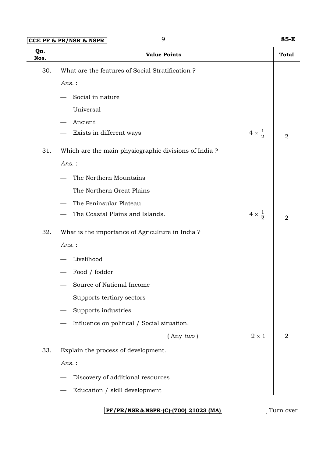# **CCE PF & PR/NSR & NSPR** 9 **85-E**

| Qn.<br>Nos. | <b>Value Points</b>                                  |                        | <b>Total</b>   |
|-------------|------------------------------------------------------|------------------------|----------------|
| 30.         | What are the features of Social Stratification?      |                        |                |
|             | $Ans.$ :                                             |                        |                |
|             | Social in nature                                     |                        |                |
|             | Universal                                            |                        |                |
|             | Ancient                                              |                        |                |
|             | Exists in different ways                             | $4 \times \frac{1}{2}$ | $\overline{2}$ |
| 31.         | Which are the main physiographic divisions of India? |                        |                |
|             | $Ans.$ :                                             |                        |                |
|             | The Northern Mountains                               |                        |                |
|             | The Northern Great Plains                            |                        |                |
|             | The Peninsular Plateau                               |                        |                |
|             | The Coastal Plains and Islands.                      | $4 \times \frac{1}{2}$ | $\overline{2}$ |
| 32.         | What is the importance of Agriculture in India?      |                        |                |
|             | $Ans.$ :                                             |                        |                |
|             | Livelihood                                           |                        |                |
|             | Food / fodder                                        |                        |                |
|             | Source of National Income                            |                        |                |
|             | Supports tertiary sectors                            |                        |                |
|             | Supports industries                                  |                        |                |
|             | Influence on political / Social situation.           |                        |                |
|             | $($ Any $two)$                                       | $2 \times 1$           | $\overline{2}$ |
| 33.         | Explain the process of development.                  |                        |                |
|             | $Ans.$ :                                             |                        |                |
|             | Discovery of additional resources                    |                        |                |
|             | Education / skill development                        |                        |                |
|             | PF/PR/NSR & NSPR-(C)-(700)-21023 (MA)                |                        | Turn over      |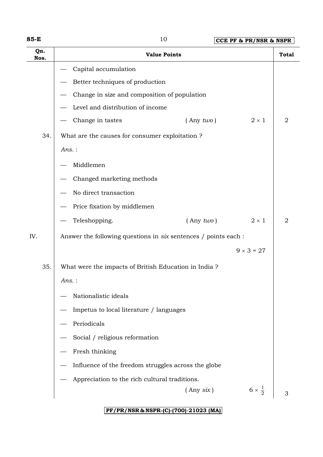| w<br>۰,<br>۰. |  |
|---------------|--|
|---------------|--|

**85-E** 10 **CCE PF & PR/NSR & NSPR**

| Qn.<br>Nos. | <b>Value Points</b>                                             | <b>Total</b>   |  |
|-------------|-----------------------------------------------------------------|----------------|--|
|             | Capital accumulation                                            |                |  |
|             | Better techniques of production                                 |                |  |
|             | Change in size and composition of population                    |                |  |
|             | Level and distribution of income                                |                |  |
|             | $2 \times 1$<br>Change in tastes<br>$($ Any two $)$             | 2              |  |
| 34.         | What are the causes for consumer exploitation?                  |                |  |
|             | Ans.:                                                           |                |  |
|             | Middlemen                                                       |                |  |
|             | Changed marketing methods                                       |                |  |
|             | No direct transaction                                           |                |  |
|             | Price fixation by middlemen                                     |                |  |
|             | $2 \times 1$<br>Teleshopping.<br>$($ Any $two)$                 | $\overline{2}$ |  |
| IV.         | Answer the following questions in six sentences / points each : |                |  |
|             | $9 \times 3 = 27$                                               |                |  |
| 35.         | What were the impacts of British Education in India?            |                |  |
|             | $Ans.$ :                                                        |                |  |
|             | Nationalistic ideals                                            |                |  |
|             | Impetus to local literature / languages                         |                |  |
|             | Periodicals                                                     |                |  |
|             | Social / religious reformation                                  |                |  |
|             | Fresh thinking                                                  |                |  |
|             | Influence of the freedom struggles across the globe             |                |  |
|             | Appreciation to the rich cultural traditions.                   |                |  |
|             | $6 \times \frac{1}{2}$<br>$($ Any $six)$                        | 3              |  |
|             |                                                                 |                |  |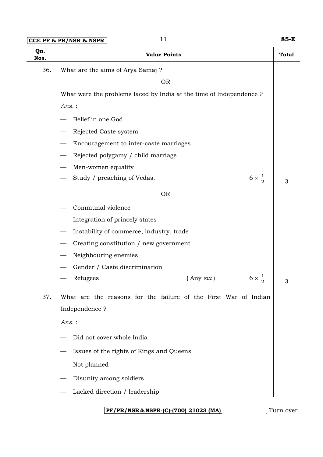| $ CCE$ PF & PR/NSR & NSPR $ $ |  | 85-E |
|-------------------------------|--|------|
|-------------------------------|--|------|

| Qn.<br>Nos. | <b>Value Points</b>                                                 | <b>Total</b> |
|-------------|---------------------------------------------------------------------|--------------|
| 36.         | What are the aims of Arya Samaj ?                                   |              |
|             | <b>OR</b>                                                           |              |
|             | What were the problems faced by India at the time of Independence ? |              |
|             | $Ans.$ :                                                            |              |
|             | Belief in one God                                                   |              |
|             | Rejected Caste system                                               |              |
|             | Encouragement to inter-caste marriages                              |              |
|             | Rejected polygamy / child marriage                                  |              |
|             | Men-women equality                                                  |              |
|             | $6 \times \frac{1}{2}$<br>Study / preaching of Vedas.               | 3            |
|             | <b>OR</b>                                                           |              |
|             | Communal violence                                                   |              |
|             | Integration of princely states                                      |              |
|             | Instability of commerce, industry, trade                            |              |
|             | Creating constitution / new government                              |              |
|             | Neighbouring enemies                                                |              |
|             | Gender / Caste discrimination                                       |              |
|             | $6 \times \frac{1}{2}$<br>Refugees<br>$($ Any six $)$               | 3            |
| 37.         | What are the reasons for the failure of the First War of Indian     |              |
|             | Independence?                                                       |              |
|             | $Ans.$ :                                                            |              |
|             | Did not cover whole India                                           |              |
|             | Issues of the rights of Kings and Queens                            |              |
|             | Not planned                                                         |              |
|             | Disunity among soldiers                                             |              |
|             | Lacked direction / leadership                                       |              |
|             |                                                                     |              |

## **PF/PR/NSR & NSPR-(C)-(700)**-**21023 (MA)** [ Turn over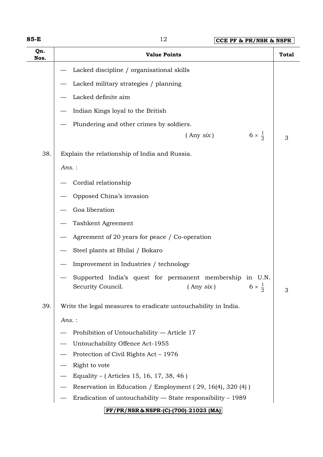| ×<br>۰,<br>w<br>v<br>۰.<br>× |  |
|------------------------------|--|
|------------------------------|--|

| Qn.<br>Nos. | <b>Value Points</b>                                                                                            | <b>Total</b> |  |  |  |
|-------------|----------------------------------------------------------------------------------------------------------------|--------------|--|--|--|
|             | Lacked discipline / organisational skills                                                                      |              |  |  |  |
|             | Lacked military strategies / planning                                                                          |              |  |  |  |
|             | Lacked definite aim                                                                                            |              |  |  |  |
|             | Indian Kings loyal to the British                                                                              |              |  |  |  |
|             | Plundering and other crimes by soldiers.                                                                       |              |  |  |  |
|             | $6 \times \frac{1}{2}$<br>$($ Any six $)$                                                                      | 3            |  |  |  |
| 38.         | Explain the relationship of India and Russia.                                                                  |              |  |  |  |
|             | Ans.:                                                                                                          |              |  |  |  |
|             | Cordial relationship                                                                                           |              |  |  |  |
|             | Opposed China's invasion                                                                                       |              |  |  |  |
|             | Goa liberation                                                                                                 |              |  |  |  |
|             | Tashkent Agreement                                                                                             |              |  |  |  |
|             | Agreement of 20 years for peace / Co-operation                                                                 |              |  |  |  |
|             | Steel plants at Bhilai / Bokaro                                                                                |              |  |  |  |
|             | Improvement in Industries / technology                                                                         |              |  |  |  |
|             | Supported India's quest for permanent membership in U.N.<br>Security Council. (Any six) $6 \times \frac{1}{2}$ | 3            |  |  |  |
| 39.         | Write the legal measures to eradicate untouchability in India.                                                 |              |  |  |  |
|             | Ans.:                                                                                                          |              |  |  |  |
|             | Prohibition of Untouchability - Article 17                                                                     |              |  |  |  |
|             | Untouchability Offence Act-1955                                                                                |              |  |  |  |
|             | Protection of Civil Rights Act - 1976                                                                          |              |  |  |  |
|             | Right to vote                                                                                                  |              |  |  |  |
|             | Equality – (Articles 15, 16, 17, 38, 46)                                                                       |              |  |  |  |
|             | Reservation in Education / Employment (29, 16(4), 320 (4))                                                     |              |  |  |  |
|             | Eradication of untouchability - State responsibility - 1989                                                    |              |  |  |  |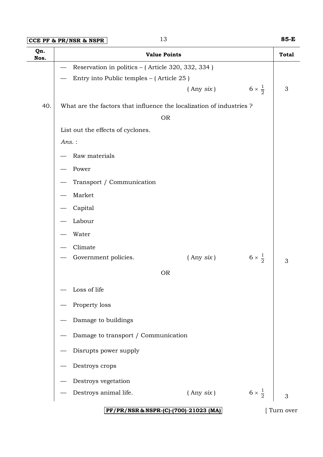**CCE PF & PR/NSR & NSPR** 13 **85-E**

| Qn.<br>Nos. |                                                                     | <b>Value Points</b>                   |                        | <b>Total</b>  |
|-------------|---------------------------------------------------------------------|---------------------------------------|------------------------|---------------|
|             | Reservation in politics - (Article 320, 332, 334)                   |                                       |                        |               |
|             | Entry into Public temples - (Article 25)                            |                                       |                        |               |
|             |                                                                     | $($ Any $six)$                        | $6 \times \frac{1}{2}$ | $\mathfrak 3$ |
| 40.         | What are the factors that influence the localization of industries? |                                       |                        |               |
|             |                                                                     | <b>OR</b>                             |                        |               |
|             | List out the effects of cyclones.                                   |                                       |                        |               |
|             | $Ans.$ :                                                            |                                       |                        |               |
|             | Raw materials                                                       |                                       |                        |               |
|             | Power                                                               |                                       |                        |               |
|             | Transport / Communication                                           |                                       |                        |               |
|             | Market                                                              |                                       |                        |               |
|             | Capital                                                             |                                       |                        |               |
|             | Labour                                                              |                                       |                        |               |
|             | Water                                                               |                                       |                        |               |
|             | Climate                                                             |                                       |                        |               |
|             | Government policies.                                                | $($ Any $six)$                        | $6 \times \frac{1}{2}$ | 3             |
|             |                                                                     | <b>OR</b>                             |                        |               |
|             | Loss of life                                                        |                                       |                        |               |
|             | Property loss                                                       |                                       |                        |               |
|             | Damage to buildings                                                 |                                       |                        |               |
|             | Damage to transport / Communication                                 |                                       |                        |               |
|             | Disrupts power supply                                               |                                       |                        |               |
|             | Destroys crops                                                      |                                       |                        |               |
|             | Destroys vegetation                                                 |                                       |                        |               |
|             | Destroys animal life.                                               | $($ Any $six)$                        | $6 \times \frac{1}{2}$ | 3             |
|             |                                                                     | PF/PR/NSR & NSPR-(C)-(700)-21023 (MA) |                        | Turn over     |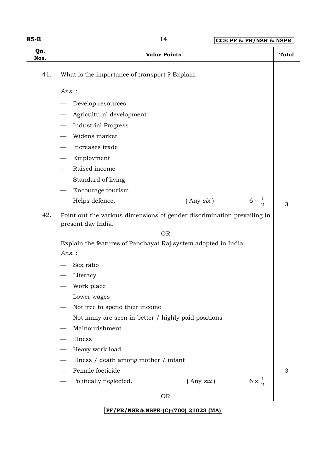| w<br>×<br>v<br>۰. |  |
|-------------------|--|
|-------------------|--|

| Qn.<br>Nos. |                                                                                               | <b>Value Points</b> | <b>Total</b>                |
|-------------|-----------------------------------------------------------------------------------------------|---------------------|-----------------------------|
| 41.         | What is the importance of transport ? Explain.                                                |                     |                             |
|             | $Ans.$ :                                                                                      |                     |                             |
|             | Develop resources                                                                             |                     |                             |
|             | Agricultural development                                                                      |                     |                             |
|             | <b>Industrial Progress</b>                                                                    |                     |                             |
|             | Widens market                                                                                 |                     |                             |
|             | Increases trade                                                                               |                     |                             |
|             | Employment                                                                                    |                     |                             |
|             | Raised income                                                                                 |                     |                             |
|             | Standard of living                                                                            |                     |                             |
|             | Encourage tourism                                                                             |                     |                             |
|             | Helps defence.                                                                                | $($ Any $six)$      | $6 \times \frac{1}{2}$<br>3 |
| 42.         | Point out the various dimensions of gender discrimination prevailing in<br>present day India. |                     |                             |
|             |                                                                                               | <b>OR</b>           |                             |
|             | Explain the features of Panchayat Raj system adopted in India.<br>$Ans.$ :                    |                     |                             |
|             | Sex ratio                                                                                     |                     |                             |
|             | Literacy                                                                                      |                     |                             |
|             | Work place                                                                                    |                     |                             |
|             | Lower wages                                                                                   |                     |                             |
|             | Not free to spend their income                                                                |                     |                             |
|             | Not many are seen in better / highly paid positions                                           |                     |                             |
|             | Malnourishment                                                                                |                     |                             |
|             | Illness                                                                                       |                     |                             |
|             | Heavy work load                                                                               |                     |                             |
|             | Illness / death among mother / infant                                                         |                     |                             |
|             | Female foeticide                                                                              |                     | 3                           |
|             | Politically neglected.                                                                        | $($ Any $six)$      | $6 \times \frac{1}{2}$      |
|             |                                                                                               | <b>OR</b>           |                             |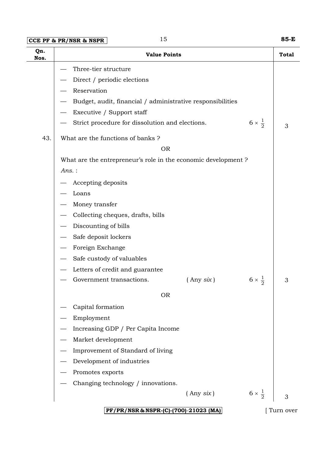## **CCE PF & PR/NSR & NSPR** 15 **85-E**

| Qn.<br>Nos. | <b>Value Points</b>                                                       | <b>Total</b> |
|-------------|---------------------------------------------------------------------------|--------------|
|             | Three-tier structure                                                      |              |
|             | Direct / periodic elections                                               |              |
|             | Reservation                                                               |              |
|             | Budget, audit, financial / administrative responsibilities                |              |
|             | Executive / Support staff                                                 |              |
|             | $6 \times \frac{1}{2}$<br>Strict procedure for dissolution and elections. | 3            |
| 43.         | What are the functions of banks?                                          |              |
|             | <b>OR</b>                                                                 |              |
|             | What are the entrepreneur's role in the economic development?             |              |
|             | $Ans.$ :                                                                  |              |
|             | Accepting deposits                                                        |              |
|             | Loans                                                                     |              |
|             | Money transfer                                                            |              |
|             | Collecting cheques, drafts, bills                                         |              |
|             | Discounting of bills                                                      |              |
|             | Safe deposit lockers                                                      |              |
|             | Foreign Exchange                                                          |              |
|             | Safe custody of valuables                                                 |              |
|             | Letters of credit and guarantee                                           |              |
|             | $6 \times \frac{1}{2}$<br>Government transactions.<br>$($ Any six $)$     | 3            |
|             | <b>OR</b>                                                                 |              |
|             | Capital formation                                                         |              |
|             | Employment                                                                |              |
|             | Increasing GDP / Per Capita Income                                        |              |
|             | Market development                                                        |              |
|             | Improvement of Standard of living                                         |              |
|             | Development of industries                                                 |              |
|             | Promotes exports                                                          |              |
|             | Changing technology / innovations.                                        |              |
|             | $6 \times \frac{1}{2}$<br>$($ Any $six)$                                  | 3            |
|             | PF/PR/NSR & NSPR-(C)-(700)-21023 (MA)                                     | Turn over    |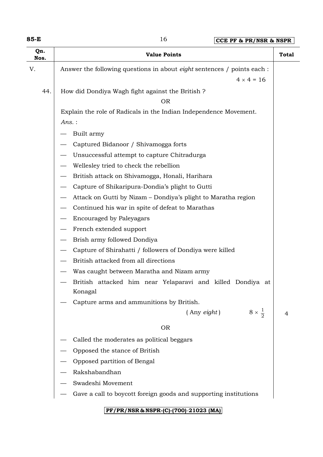| Qn.<br>Nos. | <b>Value Points</b>                                                            | <b>Total</b> |
|-------------|--------------------------------------------------------------------------------|--------------|
| V.          | Answer the following questions in about <i>eight</i> sentences / points each : |              |
|             | $4 \times 4 = 16$                                                              |              |
| 44.         | How did Dondiya Wagh fight against the British ?                               |              |
|             | <b>OR</b>                                                                      |              |
|             | Explain the role of Radicals in the Indian Independence Movement.              |              |
|             | Ans.:                                                                          |              |
|             | Built army                                                                     |              |
|             | Captured Bidanoor / Shivamogga forts                                           |              |
|             | Unsuccessful attempt to capture Chitradurga                                    |              |
|             | Wellesley tried to check the rebellion                                         |              |
|             | British attack on Shivamogga, Honali, Harihara                                 |              |
|             | Capture of Shikaripura-Dondia's plight to Gutti                                |              |
|             | Attack on Gutti by Nizam – Dondiya's plight to Maratha region                  |              |
|             | Continued his war in spite of defeat to Marathas                               |              |
|             | <b>Encouraged by Paleyagars</b>                                                |              |
|             | French extended support                                                        |              |
|             | Brish army followed Dondiya                                                    |              |
|             | Capture of Shirahatti / followers of Dondiya were killed                       |              |
|             | British attacked from all directions                                           |              |
|             | Was caught between Maratha and Nizam army                                      |              |
|             | British attacked him near Yelaparavi and killed Dondiya at<br>Konagal          |              |
|             | Capture arms and ammunitions by British.                                       |              |
|             | $8 \times \frac{1}{2}$<br>$($ Any $\dot{e}$ ight $)$                           | 4            |
|             | <b>OR</b>                                                                      |              |
|             | Called the moderates as political beggars                                      |              |
|             | Opposed the stance of British                                                  |              |
|             | Opposed partition of Bengal                                                    |              |
|             | Rakshabandhan                                                                  |              |
|             | Swadeshi Movement                                                              |              |
|             | Gave a call to boycott foreign goods and supporting institutions               |              |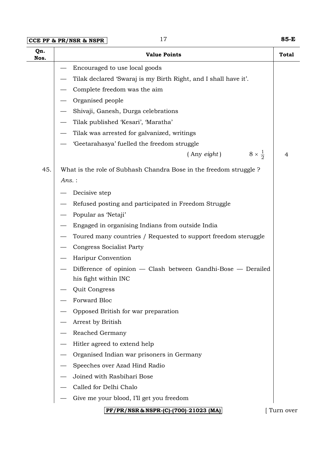## **CCE PF & PR/NSR & NSPR** 17 **85-E**

| Qn.<br>Nos. | <b>Value Points</b>                                                                  | <b>Total</b> |
|-------------|--------------------------------------------------------------------------------------|--------------|
|             | Encouraged to use local goods                                                        |              |
|             | Tilak declared 'Swaraj is my Birth Right, and I shall have it'.                      |              |
|             | Complete freedom was the aim                                                         |              |
|             | Organised people                                                                     |              |
|             | Shivaji, Ganesh, Durga celebrations                                                  |              |
|             | Tilak published 'Kesari', 'Maratha'                                                  |              |
|             | Tilak was arrested for galvanized, writings                                          |              |
|             | 'Geetarahasya' fuelled the freedom struggle                                          |              |
|             | $8 \times \frac{1}{2}$<br>$($ Any eight $)$                                          | 4            |
| 45.         | What is the role of Subhash Chandra Bose in the freedom struggle ?                   |              |
|             | Ans.:                                                                                |              |
|             | Decisive step                                                                        |              |
|             | Refused posting and participated in Freedom Struggle                                 |              |
|             | Popular as 'Netaji'                                                                  |              |
|             | Engaged in organising Indians from outside India                                     |              |
|             | Toured many countries / Requested to support freedom steruggle                       |              |
|             | <b>Congress Socialist Party</b>                                                      |              |
|             | Haripur Convention                                                                   |              |
|             | Difference of opinion — Clash between Gandhi-Bose — Derailed<br>his fight within INC |              |
|             | Quit Congress                                                                        |              |
|             | Forward Bloc                                                                         |              |
|             | Opposed British for war preparation                                                  |              |
|             | Arrest by British                                                                    |              |
|             | Reached Germany                                                                      |              |
|             | Hitler agreed to extend help                                                         |              |
|             | Organised Indian war prisoners in Germany                                            |              |
|             | Speeches over Azad Hind Radio                                                        |              |
|             | Joined with Rasbihari Bose                                                           |              |
|             | Called for Delhi Chalo                                                               |              |
|             | Give me your blood, I'll get you freedom                                             |              |
|             | PF/PR/NSR & NSPR-(C)-(700)-21023 (MA)                                                | Turn over    |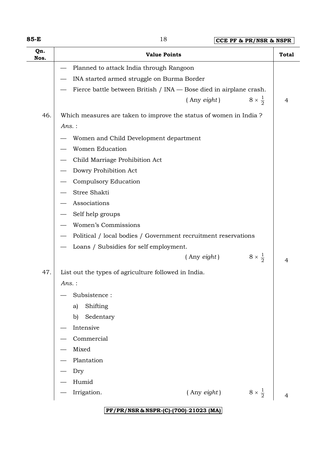**85-E** 18 **CCE PF & PR/NSR & NSPR**

| Qn.<br>Nos. | <b>Value Points</b>                                                | <b>Total</b> |
|-------------|--------------------------------------------------------------------|--------------|
|             | Planned to attack India through Rangoon                            |              |
|             | INA started armed struggle on Burma Border                         |              |
|             | Fierce battle between British / INA — Bose died in airplane crash. |              |
|             | $8 \times \frac{1}{2}$<br>$($ Any eight $)$                        | 4            |
| 46.         | Which measures are taken to improve the status of women in India ? |              |
|             | Ans.:                                                              |              |
|             | Women and Child Development department                             |              |
|             | <b>Women Education</b>                                             |              |
|             | Child Marriage Prohibition Act                                     |              |
|             | Dowry Prohibition Act                                              |              |
|             | Compulsory Education                                               |              |
|             | Stree Shakti                                                       |              |
|             | Associations                                                       |              |
|             | Self help groups                                                   |              |
|             | Women's Commissions                                                |              |
|             | Political / local bodies / Government recruitment reservations     |              |
|             | Loans / Subsidies for self employment.                             |              |
|             | $8 \times \frac{1}{2}$<br>$($ Any eight $)$                        | 4            |
| 47.         | List out the types of agriculture followed in India.               |              |
|             | Ans.:                                                              |              |
|             | Subsistence:                                                       |              |
|             | Shifting<br>a)                                                     |              |
|             | Sedentary<br>b)                                                    |              |
|             | Intensive                                                          |              |
|             | Commercial                                                         |              |
|             | Mixed                                                              |              |
|             | Plantation                                                         |              |
|             | Dry                                                                |              |
|             | Humid                                                              |              |
|             | $8 \times \frac{1}{2}$<br>$($ Any $\text{eight}$ )<br>Irrigation.  | 4            |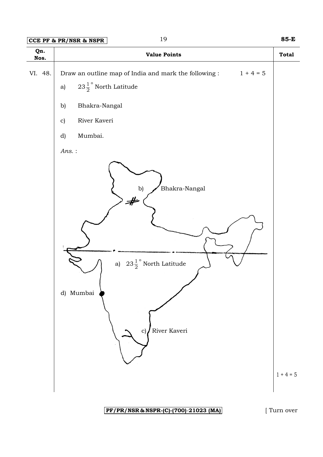## **CCE PF & PR/NSR & NSPR** 19 **85-E**



#### **PF/PR/NSR & NSPR-(C)-(700)**-**21023 (MA)** [ Turn over